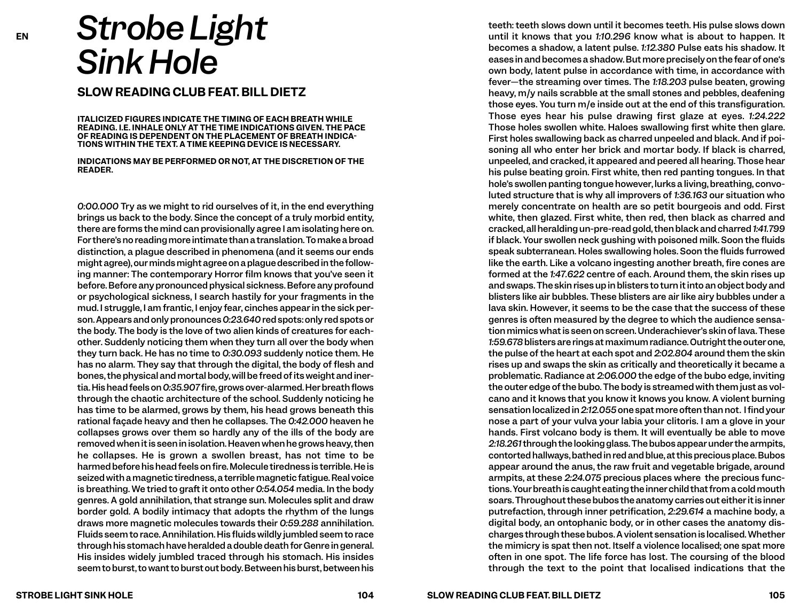## *Strobe Light Sink Hole*

**SLOW READING CLUB FEAT. BILL DIETZ**

**ITALICIZED FIGURES INDICATE THE TIMING OF EACH BREATH WHILE READING. I.E. INHALE ONLY AT THE TIME INDICATIONS GIVEN. THE PACE OF READING IS DEPENDENT ON THE PLACEMENT OF BREATH INDICA-TIONS WITHIN THE TEXT. A TIME KEEPING DEVICE IS NECESSARY.** 

**INDICATIONS MAY BE PERFORMED OR NOT, AT THE DISCRETION OF THE READER.** 

*0:00.000* Try as we might to rid ourselves of it, in the end everything brings us back to the body. Since the concept of a truly morbid entity, there are forms the mind can provisionally agree I am isolating here on. For there's no reading more intimate than a translation. To make a broad distinction, a plague described in phenomena (and it seems our ends might agree), our minds might agree on a plague described in the following manner: The contemporary Horror film knows that you've seen it before. Before any pronounced physical sickness. Before any profound or psychological sickness, I search hastily for your fragments in the mud. I struggle, I am frantic, I enjoy fear, cinches appear in the sick person. Appears and only pronounces *0:23.640* red spots: only red spots or the body. The body is the love of two alien kinds of creatures for eachother. Suddenly noticing them when they turn all over the body when they turn back. He has no time to *0:30.093* suddenly notice them. He has no alarm. They say that through the digital, the body of flesh and bones, the physical and mortal body, will be freed of its weight and inertia.His head feels on *0:35.907* fire, grows over-alarmed. Her breath flows through the chaotic architecture of the school. Suddenly noticing he has time to be alarmed, grows by them, his head grows beneath this rational façade heavy and then he collapses. The *0:42.000* heaven he collapses grows over them so hardly any of the ills of the body are removed when it is seen in isolation. Heaven when he grows heavy, then he collapses. He is grown a swollen breast, has not time to be harmedbefore his head feels on fire. Molecule tiredness is terrible. He is seized with a magnetic tiredness, a terrible magnetic fatigue. Real voice is breathing. We tried to graft it onto other *0:54.054* media. In the body genres. A gold annihilation, that strange sun. Molecules split and draw border gold. A bodily intimacy that adopts the rhythm of the lungs draws more magnetic molecules towards their *0:59.288* annihilation. Fluids seem to race. Annihilation. His fluids wildly jumbled seem to race through his stomach have heralded a double death for Genre in general. His insides widely jumbled traced through his stomach. His insides seem to burst, to want to burst out body. Between his burst, between his

teeth: teeth slows down until it becomes teeth. His pulse slows down until it knows that you *1:10.296* know what is about to happen. It becomes a shadow, a latent pulse. *1:12.380* Pulse eats his shadow. It eases in and becomes a shadow. But more precisely on the fear of one's own body, latent pulse in accordance with time, in accordance with fever—the streaming over times. The *1:18.203* pulse beaten, growing heavy, m/y nails scrabble at the small stones and pebbles, deafening those eyes. You turn m/e inside out at the end of this transfiguration. Those eyes hear his pulse drawing first glaze at eyes. *1:24.222*  Those holes swollen white. Haloes swallowing first white then glare. First holes swallowing back as charred unpeeled and black. And if poisoning all who enter her brick and mortar body. If black is charred, unpeeled, and cracked, it appeared and peered all hearing. Those hear his pulse beating groin. First white, then red panting tongues. In that hole's swollen panting tongue however, lurks a living, breathing, convoluted structure that is why all improvers of *1:36.163* our situation who merely concentrate on health are so petit bourgeois and odd. First white, then glazed. First white, then red, then black as charred and cracked, all heralding un-pre-readgold, then black and charred *1:41.799*  if black. Your swollen neck gushing with poisoned milk. Soon the fluids speak subterranean. Holes swallowing holes. Soon the fluids furrowed like the earth. Like a volcano ingesting another breath, fire cones are formed at the *1:47.622* centre of each. Around them, the skin rises up and swaps. The skin rises up in blisters to turn it into an object body and blisters like air bubbles. These blisters are air like airy bubbles under a lava skin. However, it seems to be the case that the success of these genres is often measured by the degree to which the audience sensation mimics what is seen on screen. Underachiever's skin of lava. These *1:59.678* blisters are rings at maximum radiance. Outright the outer one, the pulse of the heart at each spot and *2:02.804* around them the skin rises up and swaps the skin as critically and theoretically it became a problematic. Radiance at *2:06.000* the edge of the bubo edge, inviting the outer edge of the bubo. The body is streamed with them just as volcano and it knows that you know it knows you know. A violent burning sensation localized in *2:12.055* one spat more often than not. I find your nose a part of your vulva your labia your clitoris. I am a glove in your hands. First volcano body is them. It will eventually be able to move *2:18.261* through the looking glass. The bubos appear under the armpits, contorted hallways, bathed in red and blue, at this precious place. Bubos appear around the anus, the raw fruit and vegetable brigade, around armpits, at these *2:24.075* precious places where the precious functions. Your breath is caughteating the inner child that from a cold mouth soars.Throughout these bubos the anatomy carries out either it is inner putrefaction, through inner petrification, *2:29.614* a machine body, a digital body, an ontophanic body, or in other cases the anatomy discharges through these bubos. A violent sensationis localised. Whether the mimicry is spat then not. Itself a violence localised; one spat more often in one spot. The life force has lost. The coursing of the blood through the text to the point that localised indications that the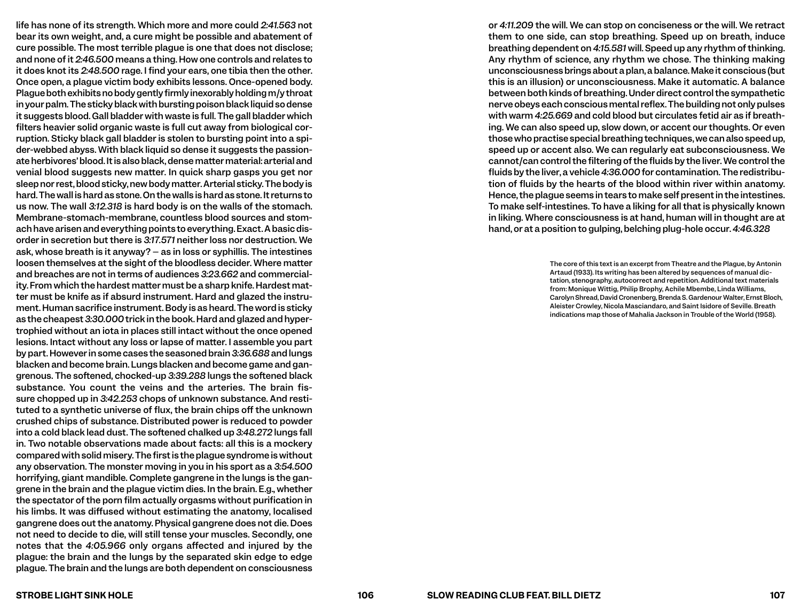life has none of its strength. Which more and more could *2:41.563* not bear its own weight, and, a cure might be possible and abatement of cure possible. The most terrible plague is one that does not disclose; and none of it *2:46.500* means a thing. How one controls and relates to it does knot its *2:48.500* rage. I find your ears, one tibia then the other. Once open, a plague victim body exhibits lessons. Once-opened body. Plague both exhibits no bodygently firmly inexorably holding m/y throat in your palm. The sticky black with bursting poison black liquid so dense it suggests blood. Gall bladder with waste is full. The gall bladder which filters heavier solid organic waste is full cut away from biological corruption. Sticky black gall bladder is stolen to bursting point into a spider-webbed abyss. With black liquid so dense it suggests the passionate herbivores' blood. It is also black,dense mattermaterial: arterial and venial blood suggests new matter. In quick sharp gasps you get nor sleep nor rest, blood sticky, new body matter. Arterial sticky. The body is hard. The wall is hard as stone. On the walls is hard as stone. It returns to us now. The wall *3:12.318* is hard body is on the walls of the stomach. Membrane-stomach-membrane, countless blood sources and stomach have arisen and everything points to everything. Exact. A basic disorder in secretion but there is *3:17.571* neither loss nor destruction. We ask, whose breath is it anyway? – as in loss or syphillis. The intestines loosen themselves at the sight of the bloodless decider. Where matter and breaches are not in terms of audiences *3:23.662* and commerciality. From which the hardest matter must be a sharp knife. Hardest matter must be knife as if absurd instrument. Hard and glazed the instrument. Human sacrifice instrument. Body is as heard. The word is sticky as the cheapest *3:30.000* trick in the book. Hard and glazed and hypertrophied without an iota in places still intact without the once opened lesions. Intact without any loss or lapse of matter. I assemble you part by part. However in some cases the seasoned brain *3:36.688* and lungs blacken and become brain. Lungs blacken and become game and gangrenous. The softened, chocked-up *3:39.288* lungs the softened black substance. You count the veins and the arteries. The brain fissure chopped up in *3:42.253* chops of unknown substance. And restituted to a synthetic universe of flux, the brain chips off the unknown crushed chips of substance. Distributed power is reduced to powder into a cold black lead dust. The softened chalked up *3:48.272* lungs fall in. Two notable observations made about facts: all this is a mockery compared with solid misery. The first is the plague syndrome is without any observation. The monster moving in you in his sport as a *3:54.500*  horrifying, giant mandible. Complete gangrene in the lungs is the gangrene in the brain and the plague victim dies. In the brain. E.g., whether the spectator of the porn film actually orgasms without purification in his limbs. It was diffused without estimating the anatomy, localised gangrene does out the anatomy. Physical gangrene does not die. Does not need to decide to die, will still tense your muscles. Secondly, one notes that the *4:05.966* only organs affected and injured by the plague: the brain and the lungs by the separated skin edge to edge plague. The brain and the lungs are both dependent on consciousness

or *4:11.209* the will. We can stop on conciseness or the will. We retract them to one side, can stop breathing. Speed up on breath, induce breathing dependent on *4:15.581* will. Speed up any rhythm of thinking. Any rhythm of science, any rhythm we chose. The thinking making unconsciousnessbrings about a plan, a balance. Make it conscious (but this is an illusion) or unconsciousness. Make it automatic. A balance between both kinds of breathing. Under direct control the sympathetic nerve obeys each conscious mental reflex.The building not only pulses with warm *4:25.669* and cold blood but circulates fetid air as if breathing. We can also speed up, slow down, or accent our thoughts. Or even those who practise special breathing techniques, we can also speed up, speed up or accent also. We can regularly eat subconsciousness. We cannot/can control the filtering of the fluids by the liver. We control the fluids by the liver, a vehicle *4:36.000* for contamination. The redistribution of fluids by the hearts of the blood within river within anatomy. Hence, the plague seems in tears to make self present in the intestines. To make self-intestines. To have a liking for all that is physically known in liking. Where consciousness is at hand, human will in thought are at hand, or at a position to gulping, belching plug-hole occur. *4:46.328*

> The core of this text is an excerpt from Theatre and the Plague, by Antonin Artaud (1933). Its writing has been altered by sequences of manual dictation, stenography, autocorrect and repetition. Additional text materials from: Monique Wittig, Philip Brophy, Achile Mbembe, Linda Williams, Carolyn Shread, David Cronenberg, Brenda S. Gardenour Walter, Ernst Bloch, Aleister Crowley, Nicola Masciandaro, and Saint Isidore of Seville. Breath indications map those of Mahalia Jackson in Trouble of the World (1958).